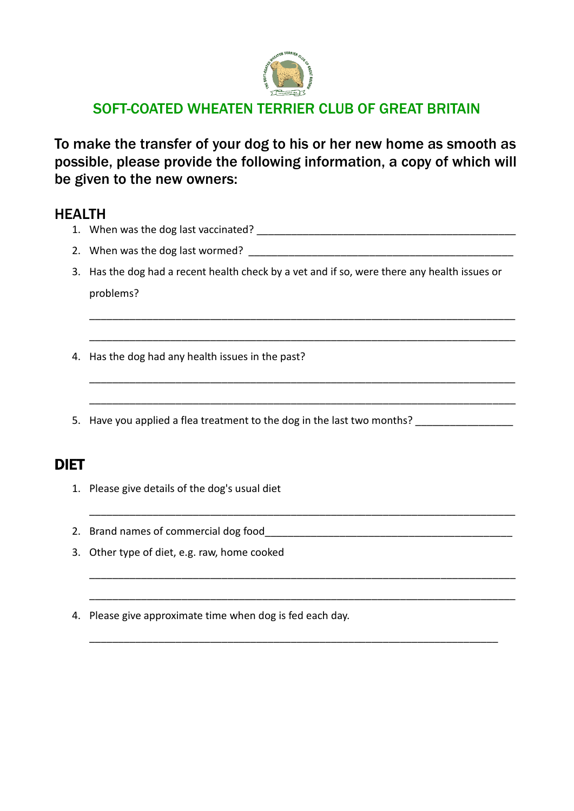

# SOFT-COATED WHEATEN TERRIER CLUB OF GREAT BRITAIN

To make the transfer of your dog to his or her new home as smooth as possible, please provide the following information, a copy of which will be given to the new owners:

### HEALTH

- 1. When was the dog last vaccinated? \_\_\_\_\_\_\_\_\_\_\_\_\_\_\_\_\_\_\_\_\_\_\_\_\_\_\_\_\_\_\_\_\_\_\_\_\_\_\_\_\_\_\_\_\_
- 2. When was the dog last wormed? \_\_\_\_\_\_\_\_\_\_\_\_\_\_\_\_\_\_\_\_\_\_\_\_\_\_\_\_\_\_\_\_\_\_\_\_\_\_\_\_\_\_\_\_\_\_
- 3. Has the dog had a recent health check by a vet and if so, were there any health issues or problems?

\_\_\_\_\_\_\_\_\_\_\_\_\_\_\_\_\_\_\_\_\_\_\_\_\_\_\_\_\_\_\_\_\_\_\_\_\_\_\_\_\_\_\_\_\_\_\_\_\_\_\_\_\_\_\_\_\_\_\_\_\_\_\_\_\_\_\_\_\_\_\_\_\_\_

\_\_\_\_\_\_\_\_\_\_\_\_\_\_\_\_\_\_\_\_\_\_\_\_\_\_\_\_\_\_\_\_\_\_\_\_\_\_\_\_\_\_\_\_\_\_\_\_\_\_\_\_\_\_\_\_\_\_\_\_\_\_\_\_\_\_\_\_\_\_\_\_\_\_

\_\_\_\_\_\_\_\_\_\_\_\_\_\_\_\_\_\_\_\_\_\_\_\_\_\_\_\_\_\_\_\_\_\_\_\_\_\_\_\_\_\_\_\_\_\_\_\_\_\_\_\_\_\_\_\_\_\_\_\_\_\_\_\_\_\_\_\_\_\_\_\_\_\_

\_\_\_\_\_\_\_\_\_\_\_\_\_\_\_\_\_\_\_\_\_\_\_\_\_\_\_\_\_\_\_\_\_\_\_\_\_\_\_\_\_\_\_\_\_\_\_\_\_\_\_\_\_\_\_\_\_\_\_\_\_\_\_\_\_\_\_\_\_\_\_\_\_\_

\_\_\_\_\_\_\_\_\_\_\_\_\_\_\_\_\_\_\_\_\_\_\_\_\_\_\_\_\_\_\_\_\_\_\_\_\_\_\_\_\_\_\_\_\_\_\_\_\_\_\_\_\_\_\_\_\_\_\_\_\_\_\_\_\_\_\_\_\_\_\_\_\_\_

\_\_\_\_\_\_\_\_\_\_\_\_\_\_\_\_\_\_\_\_\_\_\_\_\_\_\_\_\_\_\_\_\_\_\_\_\_\_\_\_\_\_\_\_\_\_\_\_\_\_\_\_\_\_\_\_\_\_\_\_\_\_\_\_\_\_\_\_\_\_\_\_\_\_

\_\_\_\_\_\_\_\_\_\_\_\_\_\_\_\_\_\_\_\_\_\_\_\_\_\_\_\_\_\_\_\_\_\_\_\_\_\_\_\_\_\_\_\_\_\_\_\_\_\_\_\_\_\_\_\_\_\_\_\_\_\_\_\_\_\_\_\_\_\_\_\_\_\_

\_\_\_\_\_\_\_\_\_\_\_\_\_\_\_\_\_\_\_\_\_\_\_\_\_\_\_\_\_\_\_\_\_\_\_\_\_\_\_\_\_\_\_\_\_\_\_\_\_\_\_\_\_\_\_\_\_\_\_\_\_\_\_\_\_\_\_\_\_\_\_

- 4. Has the dog had any health issues in the past?
- 5. Have you applied a flea treatment to the dog in the last two months?

## DIET

- 1. Please give details of the dog's usual diet
- 2. Brand names of commercial dog food
- 3. Other type of diet, e.g. raw, home cooked
- 4. Please give approximate time when dog is fed each day.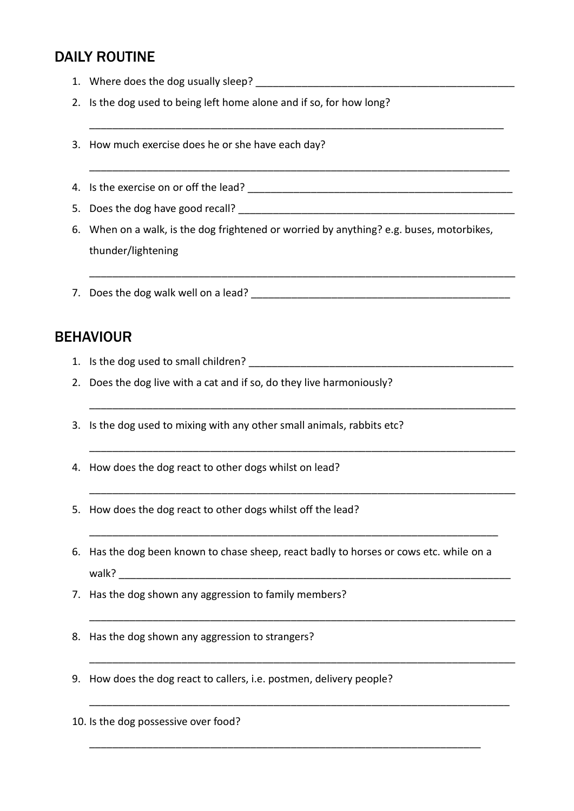# DAILY ROUTINE

- 1. Where does the dog usually sleep?
- 2. Is the dog used to being left home alone and if so, for how long?
- 3. How much exercise does he or she have each day?
- 4. Is the exercise on or off the lead? \_\_\_\_\_\_\_\_\_\_\_\_\_\_\_\_\_\_\_\_\_\_\_\_\_\_\_\_\_\_\_\_\_\_\_\_\_\_\_\_\_\_\_\_\_\_
- 5. Does the dog have good recall? \_\_\_\_\_\_\_\_\_\_\_\_\_\_\_\_\_\_\_\_\_\_\_\_\_\_\_\_\_\_\_\_\_\_\_\_\_\_\_\_\_\_\_\_\_\_\_\_

\_\_\_\_\_\_\_\_\_\_\_\_\_\_\_\_\_\_\_\_\_\_\_\_\_\_\_\_\_\_\_\_\_\_\_\_\_\_\_\_\_\_\_\_\_\_\_\_\_\_\_\_\_\_\_\_\_\_\_\_\_\_\_\_\_\_\_\_\_\_\_\_

\_\_\_\_\_\_\_\_\_\_\_\_\_\_\_\_\_\_\_\_\_\_\_\_\_\_\_\_\_\_\_\_\_\_\_\_\_\_\_\_\_\_\_\_\_\_\_\_\_\_\_\_\_\_\_\_\_\_\_\_\_\_\_\_\_\_\_\_\_\_\_\_\_

\_\_\_\_\_\_\_\_\_\_\_\_\_\_\_\_\_\_\_\_\_\_\_\_\_\_\_\_\_\_\_\_\_\_\_\_\_\_\_\_\_\_\_\_\_\_\_\_\_\_\_\_\_\_\_\_\_\_\_\_\_\_\_\_\_\_\_\_\_\_\_\_\_\_

\_\_\_\_\_\_\_\_\_\_\_\_\_\_\_\_\_\_\_\_\_\_\_\_\_\_\_\_\_\_\_\_\_\_\_\_\_\_\_\_\_\_\_\_\_\_\_\_\_\_\_\_\_\_\_\_\_\_\_\_\_\_\_\_\_\_\_\_\_\_\_\_\_\_

\_\_\_\_\_\_\_\_\_\_\_\_\_\_\_\_\_\_\_\_\_\_\_\_\_\_\_\_\_\_\_\_\_\_\_\_\_\_\_\_\_\_\_\_\_\_\_\_\_\_\_\_\_\_\_\_\_\_\_\_\_\_\_\_\_\_\_\_\_\_\_\_\_\_

\_\_\_\_\_\_\_\_\_\_\_\_\_\_\_\_\_\_\_\_\_\_\_\_\_\_\_\_\_\_\_\_\_\_\_\_\_\_\_\_\_\_\_\_\_\_\_\_\_\_\_\_\_\_\_\_\_\_\_\_\_\_\_\_\_\_\_\_\_\_\_\_\_\_

\_\_\_\_\_\_\_\_\_\_\_\_\_\_\_\_\_\_\_\_\_\_\_\_\_\_\_\_\_\_\_\_\_\_\_\_\_\_\_\_\_\_\_\_\_\_\_\_\_\_\_\_\_\_\_\_\_\_\_\_\_\_\_\_\_\_\_\_\_\_\_\_\_\_

\_\_\_\_\_\_\_\_\_\_\_\_\_\_\_\_\_\_\_\_\_\_\_\_\_\_\_\_\_\_\_\_\_\_\_\_\_\_\_\_\_\_\_\_\_\_\_\_\_\_\_\_\_\_\_\_\_\_\_\_\_\_\_\_\_\_\_\_\_\_\_\_\_\_

\_\_\_\_\_\_\_\_\_\_\_\_\_\_\_\_\_\_\_\_\_\_\_\_\_\_\_\_\_\_\_\_\_\_\_\_\_\_\_\_\_\_\_\_\_\_\_\_\_\_\_\_\_\_\_\_\_\_\_\_\_\_\_\_\_\_\_\_\_\_\_\_\_

\_\_\_\_\_\_\_\_\_\_\_\_\_\_\_\_\_\_\_\_\_\_\_\_\_\_\_\_\_\_\_\_\_\_\_\_\_\_\_\_\_\_\_\_\_\_\_\_\_\_\_\_\_\_\_\_\_\_\_\_\_\_\_\_\_\_\_\_

\_\_\_\_\_\_\_\_\_\_\_\_\_\_\_\_\_\_\_\_\_\_\_\_\_\_\_\_\_\_\_\_\_\_\_\_\_\_\_\_\_\_\_\_\_\_\_\_\_\_\_\_\_\_\_\_\_\_\_\_\_\_\_\_\_\_\_\_\_\_\_

- 6. When on a walk, is the dog frightened or worried by anything? e.g. buses, motorbikes, thunder/lightening
- 7. Does the dog walk well on a lead?

### **BEHAVIOUR**

- 1. Is the dog used to small children?
- 2. Does the dog live with a cat and if so, do they live harmoniously?
- 3. Is the dog used to mixing with any other small animals, rabbits etc?
- 4. How does the dog react to other dogs whilst on lead?
- 5. How does the dog react to other dogs whilst off the lead?
- 6. Has the dog been known to chase sheep, react badly to horses or cows etc. while on a walk?
- 7. Has the dog shown any aggression to family members?
- 8. Has the dog shown any aggression to strangers?
- 9. How does the dog react to callers, i.e. postmen, delivery people?

10. Is the dog possessive over food?